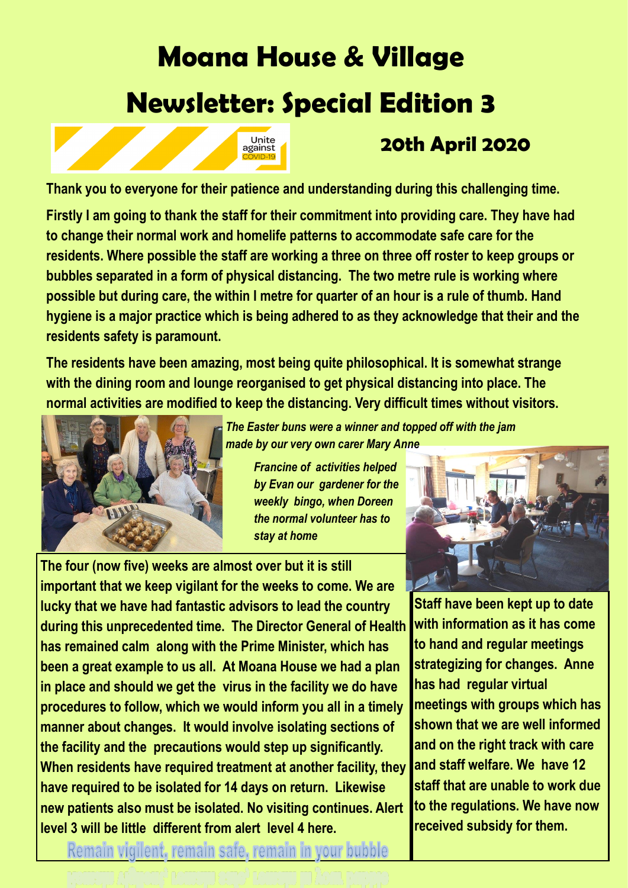# **Moana House & Village Newsletter: Special Edition 3**



## **20th April 2020**

**Thank you to everyone for their patience and understanding during this challenging time.**

**Firstly I am going to thank the staff for their commitment into providing care. They have had to change their normal work and homelife patterns to accommodate safe care for the residents. Where possible the staff are working a three on three off roster to keep groups or bubbles separated in a form of physical distancing. The two metre rule is working where possible but during care, the within I metre for quarter of an hour is a rule of thumb. Hand hygiene is a major practice which is being adhered to as they acknowledge that their and the residents safety is paramount.** 

**The residents have been amazing, most being quite philosophical. It is somewhat strange with the dining room and lounge reorganised to get physical distancing into place. The normal activities are modified to keep the distancing. Very difficult times without visitors.**



*The Easter buns were a winner and topped off with the jam made by our very own carer Mary Anne*

*Francine of activities helped by Evan our gardener for the weekly bingo, when Doreen the normal volunteer has to stay at home*

**The four (now five) weeks are almost over but it is still important that we keep vigilant for the weeks to come. We are lucky that we have had fantastic advisors to lead the country during this unprecedented time. The Director General of Health has remained calm along with the Prime Minister, which has been a great example to us all. At Moana House we had a plan in place and should we get the virus in the facility we do have procedures to follow, which we would inform you all in a timely manner about changes. It would involve isolating sections of the facility and the precautions would step up significantly. When residents have required treatment at another facility, they have required to be isolated for 14 days on return. Likewise new patients also must be isolated. No visiting continues. Alert level 3 will be little different from alert level 4 here.** 



**Staff have been kept up to date with information as it has come to hand and regular meetings strategizing for changes. Anne has had regular virtual meetings with groups which has shown that we are well informed and on the right track with care and staff welfare. We have 12 staff that are unable to work due to the regulations. We have now received subsidy for them.**